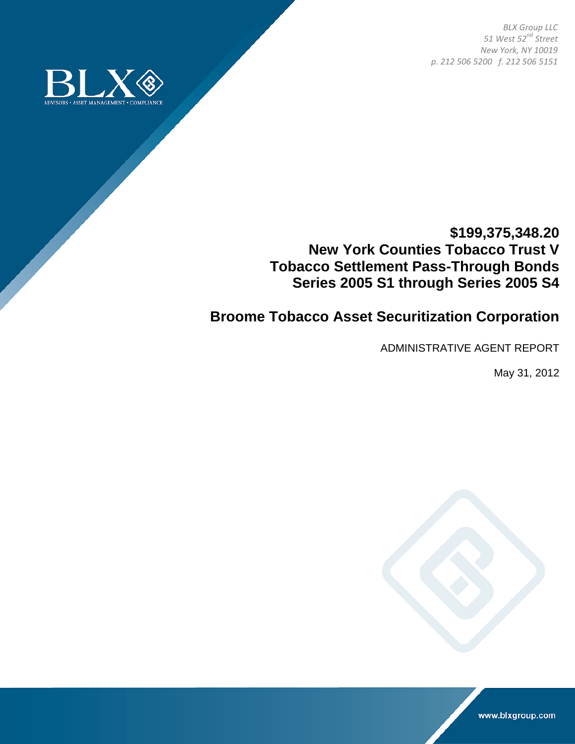*BLX Group LLC 51 West 52nd Street New York, NY 10019 p. 212 506 5200 f. 212 506 5151*



## **\$199,375,348.20 New York Counties Tobacco Trust V Tobacco Settlement Pass-Through Bonds Series 2005 S1 through Series 2005 S4**

# **Broome Tobacco Asset Securitization Corporation**

ADMINISTRATIVE AGENT REPORT

May 31, 2012



www.blxgroup.com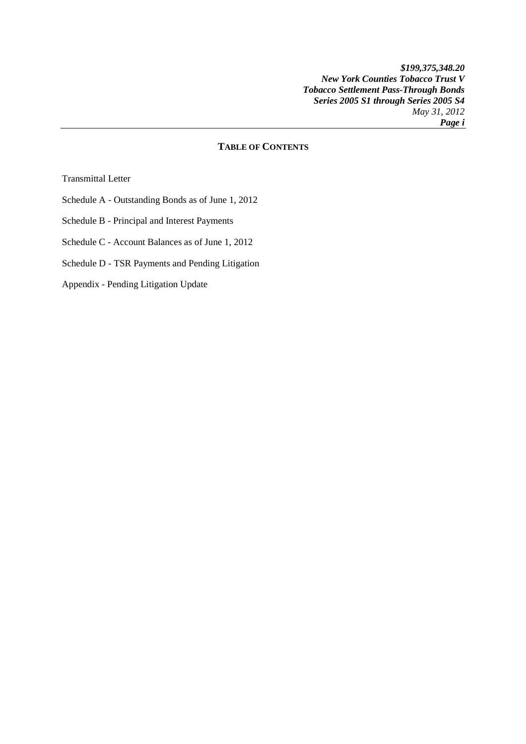## **TABLE OF CONTENTS**

Transmittal Letter

- Schedule A Outstanding Bonds as of June 1, 2012
- Schedule B Principal and Interest Payments
- Schedule C Account Balances as of June 1, 2012
- Schedule D TSR Payments and Pending Litigation
- Appendix Pending Litigation Update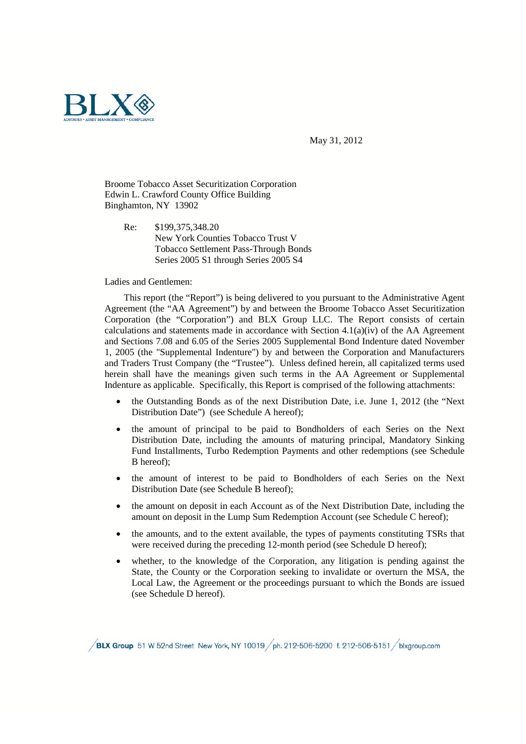

May 31, 2012

Broome Tobacco Asset Securitization Corporation Edwin L. Crawford County Office Building Binghamton, NY 13902

Re: \$199,375,348.20 New York Counties Tobacco Trust V Tobacco Settlement Pass-Through Bonds Series 2005 S1 through Series 2005 S4

#### Ladies and Gentlemen:

This report (the "Report") is being delivered to you pursuant to the Administrative Agent Agreement (the "AA Agreement") by and between the Broome Tobacco Asset Securitization Corporation (the "Corporation") and BLX Group LLC. The Report consists of certain calculations and statements made in accordance with Section  $4.1(a)(iv)$  of the AA Agreement and Sections 7.08 and 6.05 of the Series 2005 Supplemental Bond Indenture dated November 1, 2005 (the "Supplemental Indenture") by and between the Corporation and Manufacturers and Traders Trust Company (the "Trustee"). Unless defined herein, all capitalized terms used herein shall have the meanings given such terms in the AA Agreement or Supplemental Indenture as applicable. Specifically, this Report is comprised of the following attachments:

- the Outstanding Bonds as of the next Distribution Date, i.e. June 1, 2012 (the "Next Distribution Date") (see Schedule A hereof);
- the amount of principal to be paid to Bondholders of each Series on the Next Distribution Date, including the amounts of maturing principal, Mandatory Sinking Fund Installments, Turbo Redemption Payments and other redemptions (see Schedule B hereof);
- the amount of interest to be paid to Bondholders of each Series on the Next Distribution Date (see Schedule B hereof);
- the amount on deposit in each Account as of the Next Distribution Date, including the amount on deposit in the Lump Sum Redemption Account (see Schedule C hereof);
- the amounts, and to the extent available, the types of payments constituting TSRs that were received during the preceding 12-month period (see Schedule D hereof);
- whether, to the knowledge of the Corporation, any litigation is pending against the State, the County or the Corporation seeking to invalidate or overturn the MSA, the Local Law, the Agreement or the proceedings pursuant to which the Bonds are issued (see Schedule D hereof).

BLX Group 51 W 52nd Street New York, NY 10019 ph. 212-506-5200 f. 212-506-5151 blxgroup.com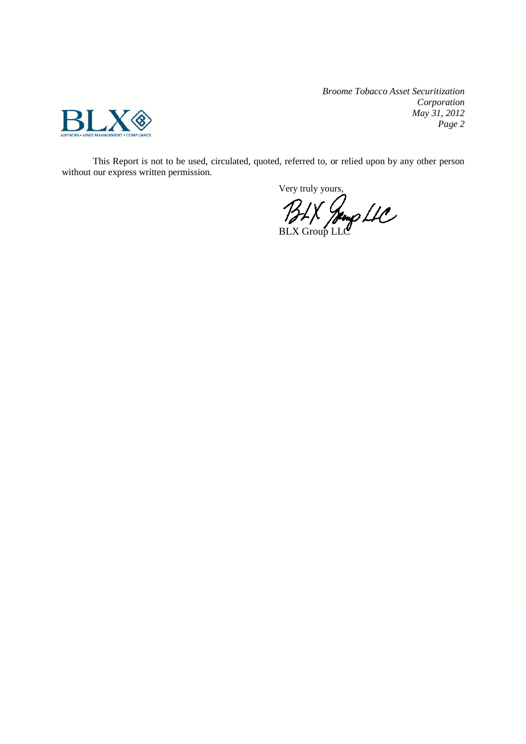

*Broome Tobacco Asset Securitization Corporation May 31, 2012 Page 2*

This Report is not to be used, circulated, quoted, referred to, or relied upon by any other person without our express written permission.

Very truly yours,

BLX Jeogp LLC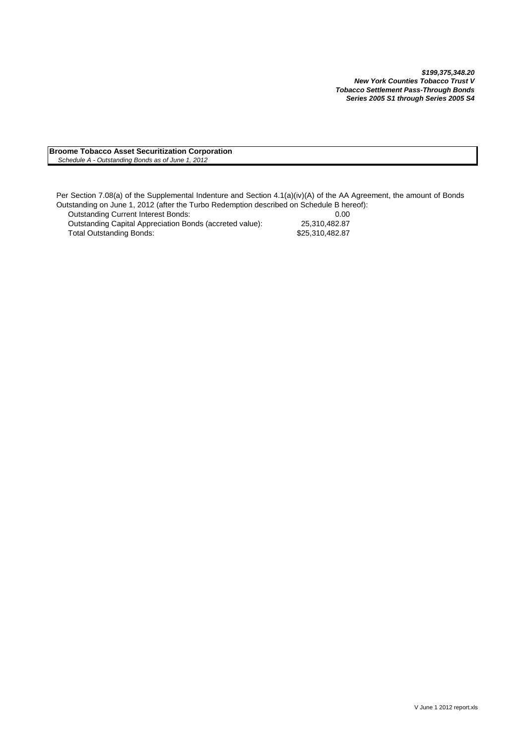#### **Broome Tobacco Asset Securitization Corporation** *Schedule A - Outstanding Bonds as of June 1, 2012*

Per Section 7.08(a) of the Supplemental Indenture and Section 4.1(a)(iv)(A) of the AA Agreement, the amount of Bonds Outstanding on June 1, 2012 (after the Turbo Redemption described on Schedule B hereof):

| <b>Outstanding Current Interest Bonds:</b>               | 0.00            |
|----------------------------------------------------------|-----------------|
| Outstanding Capital Appreciation Bonds (accreted value): | 25.310.482.87   |
| Total Outstanding Bonds:                                 | \$25.310.482.87 |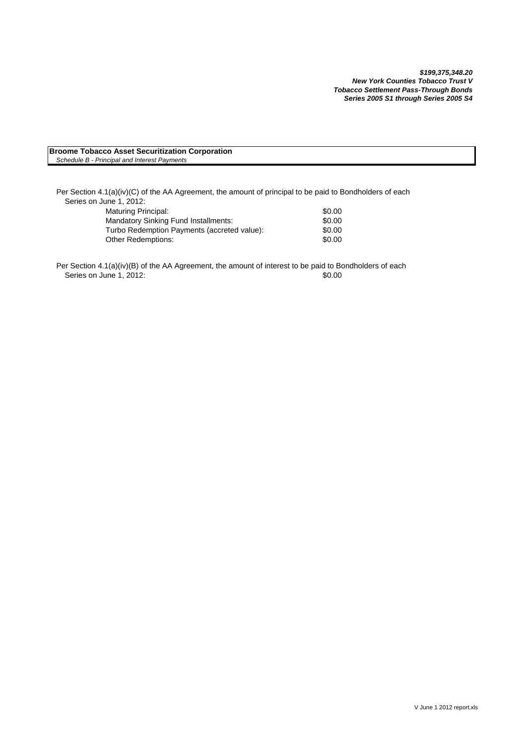#### **Broome Tobacco Asset Securitization Corporation** *Schedule B - Principal and Interest Payments*

Per Section 4.1(a)(iv)(C) of the AA Agreement, the amount of principal to be paid to Bondholders of each Series on June 1, 2012:

| Maturing Principal:                         | \$0.00 |
|---------------------------------------------|--------|
| <b>Mandatory Sinking Fund Installments:</b> | \$0.00 |
| Turbo Redemption Payments (accreted value): | \$0.00 |
| <b>Other Redemptions:</b>                   | \$0.00 |

Per Section 4.1(a)(iv)(B) of the AA Agreement, the amount of interest to be paid to Bondholders of each Series on June 1, 2012: \$0.00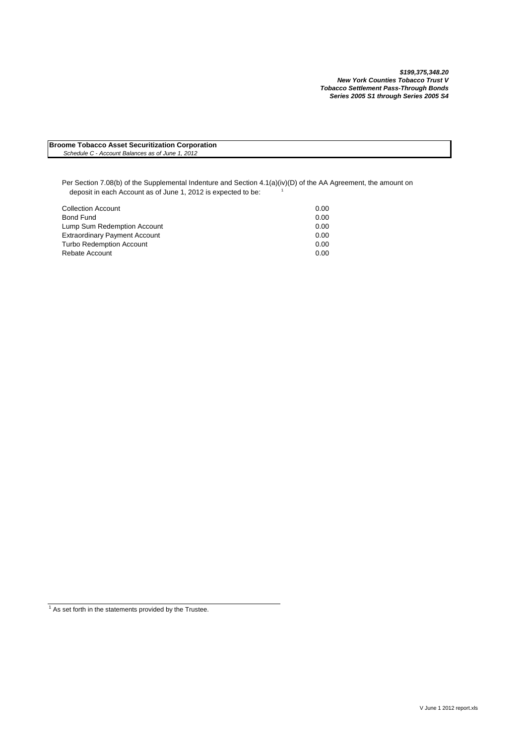**Broome Tobacco Asset Securitization Corporation** *Schedule C - Account Balances as of June 1, 2012*

Per Section 7.08(b) of the Supplemental Indenture and Section 4.1(a)(iv)(D) of the AA Agreement, the amount on deposit in each Account as of June 1, 2012 is expected to be:  $1$ 

| <b>Collection Account</b>            | 0.00 |
|--------------------------------------|------|
| Bond Fund                            | 0.00 |
| Lump Sum Redemption Account          | 0.00 |
| <b>Extraordinary Payment Account</b> | 0.00 |
| <b>Turbo Redemption Account</b>      | 0.00 |
| Rebate Account                       | 0.00 |

 $1/1$  As set forth in the statements provided by the Trustee.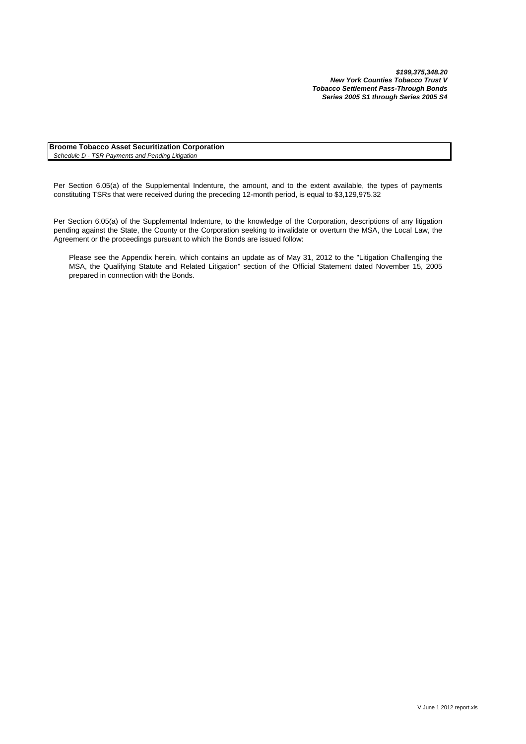**Broome Tobacco Asset Securitization Corporation** *Schedule D - TSR Payments and Pending Litigation*

Per Section 6.05(a) of the Supplemental Indenture, the amount, and to the extent available, the types of payments constituting TSRs that were received during the preceding 12-month period, is equal to \$3,129,975.32

Per Section 6.05(a) of the Supplemental Indenture, to the knowledge of the Corporation, descriptions of any litigation pending against the State, the County or the Corporation seeking to invalidate or overturn the MSA, the Local Law, the Agreement or the proceedings pursuant to which the Bonds are issued follow:

Please see the Appendix herein, which contains an update as of May 31, 2012 to the "Litigation Challenging the MSA, the Qualifying Statute and Related Litigation" section of the Official Statement dated November 15, 2005 prepared in connection with the Bonds.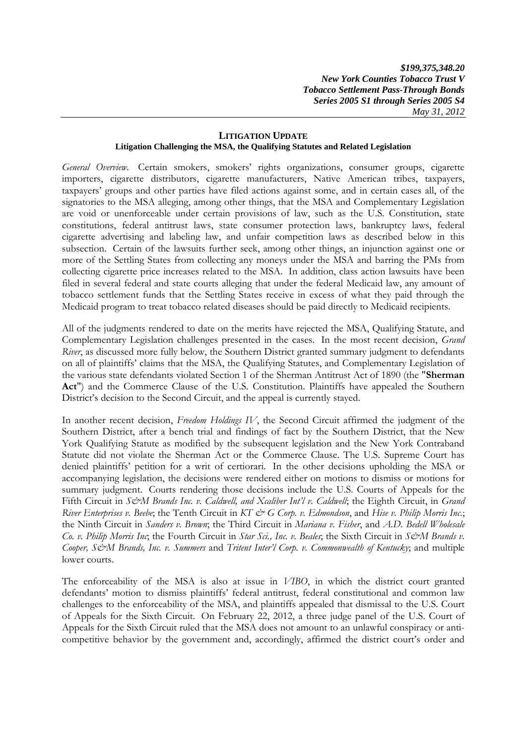### **LITIGATION UPDATE Litigation Challenging the MSA, the Qualifying Statutes and Related Legislation**

*General Overview*. Certain smokers, smokers' rights organizations, consumer groups, cigarette importers, cigarette distributors, cigarette manufacturers, Native American tribes, taxpayers, taxpayers' groups and other parties have filed actions against some, and in certain cases all, of the signatories to the MSA alleging, among other things, that the MSA and Complementary Legislation are void or unenforceable under certain provisions of law, such as the U.S. Constitution, state constitutions, federal antitrust laws, state consumer protection laws, bankruptcy laws, federal cigarette advertising and labeling law, and unfair competition laws as described below in this subsection. Certain of the lawsuits further seek, among other things, an injunction against one or more of the Settling States from collecting any moneys under the MSA and barring the PMs from collecting cigarette price increases related to the MSA. In addition, class action lawsuits have been filed in several federal and state courts alleging that under the federal Medicaid law, any amount of tobacco settlement funds that the Settling States receive in excess of what they paid through the Medicaid program to treat tobacco related diseases should be paid directly to Medicaid recipients.

All of the judgments rendered to date on the merits have rejected the MSA, Qualifying Statute, and Complementary Legislation challenges presented in the cases. In the most recent decision, *Grand River*, as discussed more fully below, the Southern District granted summary judgment to defendants on all of plaintiffs' claims that the MSA, the Qualifying Statutes, and Complementary Legislation of the various state defendants violated Section 1 of the Sherman Antitrust Act of 1890 (the "**Sherman** Act") and the Commerce Clause of the U.S. Constitution. Plaintiffs have appealed the Southern District's decision to the Second Circuit, and the appeal is currently stayed.

In another recent decision, *Freedom Holdings IV*, the Second Circuit affirmed the judgment of the Southern District, after a bench trial and findings of fact by the Southern District, that the New York Qualifying Statute as modified by the subsequent legislation and the New York Contraband Statute did not violate the Sherman Act or the Commerce Clause. The U.S. Supreme Court has denied plaintiffs' petition for a writ of certiorari. In the other decisions upholding the MSA or accompanying legislation, the decisions were rendered either on motions to dismiss or motions for summary judgment. Courts rendering those decisions include the U.S. Courts of Appeals for the Fifth Circuit in *S&M Brands Inc. v. Caldwell, and Xcaliber Int'l v. Caldwell*; the Eighth Circuit, in *Grand River Enterprises v. Beebe*; the Tenth Circuit in *KT & G Corp. v. Edmondson*, and *Hise v. Philip Morris Inc.*; the Ninth Circuit in *Sanders v. Brown*; the Third Circuit in *Mariana v. Fisher*, and *A.D. Bedell Wholesale Co. v. Philip Morris Inc*; the Fourth Circuit in *Star Sci., Inc. v. Beales*; the Sixth Circuit in *S&M Brands v. Cooper, S&M Brands, Inc. v. Summers* and *Tritent Inter'l Corp. v. Commonwealth of Kentucky*; and multiple lower courts.

The enforceability of the MSA is also at issue in *VIBO*, in which the district court granted defendants' motion to dismiss plaintiffs' federal antitrust, federal constitutional and common law challenges to the enforceability of the MSA, and plaintiffs appealed that dismissal to the U.S. Court of Appeals for the Sixth Circuit. On February 22, 2012, a three judge panel of the U.S. Court of Appeals for the Sixth Circuit ruled that the MSA does not amount to an unlawful conspiracy or anticompetitive behavior by the government and, accordingly, affirmed the district court's order and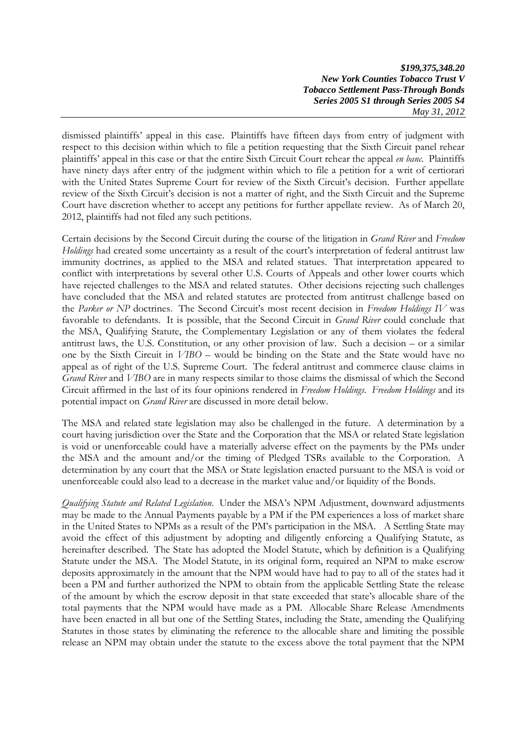dismissed plaintiffs' appeal in this case. Plaintiffs have fifteen days from entry of judgment with respect to this decision within which to file a petition requesting that the Sixth Circuit panel rehear plaintiffs' appeal in this case or that the entire Sixth Circuit Court rehear the appeal *en banc*. Plaintiffs have ninety days after entry of the judgment within which to file a petition for a writ of certiorari with the United States Supreme Court for review of the Sixth Circuit's decision. Further appellate review of the Sixth Circuit's decision is not a matter of right, and the Sixth Circuit and the Supreme Court have discretion whether to accept any petitions for further appellate review. As of March 20, 2012, plaintiffs had not filed any such petitions.

Certain decisions by the Second Circuit during the course of the litigation in *Grand River* and *Freedom Holdings* had created some uncertainty as a result of the court's interpretation of federal antitrust law immunity doctrines, as applied to the MSA and related statues. That interpretation appeared to conflict with interpretations by several other U.S. Courts of Appeals and other lower courts which have rejected challenges to the MSA and related statutes. Other decisions rejecting such challenges have concluded that the MSA and related statutes are protected from antitrust challenge based on the *Parker or NP* doctrines. The Second Circuit's most recent decision in *Freedom Holdings IV* was favorable to defendants. It is possible, that the Second Circuit in *Grand River* could conclude that the MSA, Qualifying Statute, the Complementary Legislation or any of them violates the federal antitrust laws, the U.S. Constitution, or any other provision of law. Such a decision – or a similar one by the Sixth Circuit in *VIBO* – would be binding on the State and the State would have no appeal as of right of the U.S. Supreme Court. The federal antitrust and commerce clause claims in *Grand River* and *VIBO* are in many respects similar to those claims the dismissal of which the Second Circuit affirmed in the last of its four opinions rendered in *Freedom Holdings*. *Freedom Holdings* and its potential impact on *Grand River* are discussed in more detail below.

The MSA and related state legislation may also be challenged in the future. A determination by a court having jurisdiction over the State and the Corporation that the MSA or related State legislation is void or unenforceable could have a materially adverse effect on the payments by the PMs under the MSA and the amount and/or the timing of Pledged TSRs available to the Corporation. A determination by any court that the MSA or State legislation enacted pursuant to the MSA is void or unenforceable could also lead to a decrease in the market value and/or liquidity of the Bonds.

*Qualifying Statute and Related Legislation*. Under the MSA's NPM Adjustment, downward adjustments may be made to the Annual Payments payable by a PM if the PM experiences a loss of market share in the United States to NPMs as a result of the PM's participation in the MSA. A Settling State may avoid the effect of this adjustment by adopting and diligently enforcing a Qualifying Statute, as hereinafter described. The State has adopted the Model Statute, which by definition is a Qualifying Statute under the MSA. The Model Statute, in its original form, required an NPM to make escrow deposits approximately in the amount that the NPM would have had to pay to all of the states had it been a PM and further authorized the NPM to obtain from the applicable Settling State the release of the amount by which the escrow deposit in that state exceeded that state's allocable share of the total payments that the NPM would have made as a PM. Allocable Share Release Amendments have been enacted in all but one of the Settling States, including the State, amending the Qualifying Statutes in those states by eliminating the reference to the allocable share and limiting the possible release an NPM may obtain under the statute to the excess above the total payment that the NPM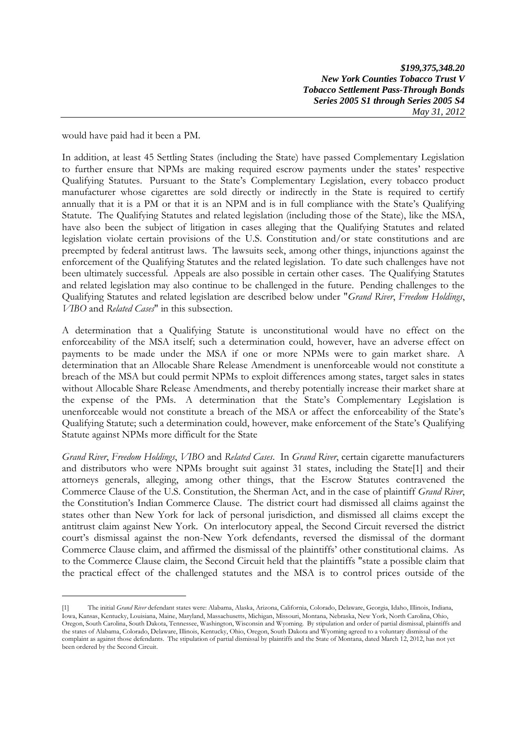would have paid had it been a PM.

In addition, at least 45 Settling States (including the State) have passed Complementary Legislation to further ensure that NPMs are making required escrow payments under the states' respective Qualifying Statutes. Pursuant to the State's Complementary Legislation, every tobacco product manufacturer whose cigarettes are sold directly or indirectly in the State is required to certify annually that it is a PM or that it is an NPM and is in full compliance with the State's Qualifying Statute. The Qualifying Statutes and related legislation (including those of the State), like the MSA, have also been the subject of litigation in cases alleging that the Qualifying Statutes and related legislation violate certain provisions of the U.S. Constitution and/or state constitutions and are preempted by federal antitrust laws. The lawsuits seek, among other things, injunctions against the enforcement of the Qualifying Statutes and the related legislation. To date such challenges have not been ultimately successful. Appeals are also possible in certain other cases. The Qualifying Statutes and related legislation may also continue to be challenged in the future. Pending challenges to the Qualifying Statutes and related legislation are described below under "*Grand River*, *Freedom Holdings*, *VIBO* and *Related Cases*" in this subsection.

A determination that a Qualifying Statute is unconstitutional would have no effect on the enforceability of the MSA itself; such a determination could, however, have an adverse effect on payments to be made under the MSA if one or more NPMs were to gain market share. A determination that an Allocable Share Release Amendment is unenforceable would not constitute a breach of the MSA but could permit NPMs to exploit differences among states, target sales in states without Allocable Share Release Amendments, and thereby potentially increase their market share at the expense of the PMs. A determination that the State's Complementary Legislation is unenforceable would not constitute a breach of the MSA or affect the enforceability of the State's Qualifying Statute; such a determination could, however, make enforcement of the State's Qualifying Statute against NPMs more difficult for the State

*Grand River*, *Freedom Holdings*, *VIBO* and *Related Cases*. In *Grand River*, certain cigarette manufacturers and distributors who were NPMs brought suit against 31 states, including the State[1] and their attorneys generals, alleging, among other things, that the Escrow Statutes contravened the Commerce Clause of the U.S. Constitution, the Sherman Act, and in the case of plaintiff *Grand River*, the Constitution's Indian Commerce Clause. The district court had dismissed all claims against the states other than New York for lack of personal jurisdiction, and dismissed all claims except the antitrust claim against New York. On interlocutory appeal, the Second Circuit reversed the district court's dismissal against the non-New York defendants, reversed the dismissal of the dormant Commerce Clause claim, and affirmed the dismissal of the plaintiffs' other constitutional claims. As to the Commerce Clause claim, the Second Circuit held that the plaintiffs "state a possible claim that the practical effect of the challenged statutes and the MSA is to control prices outside of the

<sup>[1]</sup> The initial *Grand River* defendant states were: Alabama, Alaska, Arizona, California, Colorado, Delaware, Georgia, Idaho, Illinois, Indiana, Iowa, Kansas, Kentucky, Louisiana, Maine, Maryland, Massachusetts, Michigan, Missouri, Montana, Nebraska, New York, North Carolina, Ohio, Oregon, South Carolina, South Dakota, Tennessee, Washington, Wisconsin and Wyoming. By stipulation and order of partial dismissal, plaintiffs and the states of Alabama, Colorado, Delaware, Illinois, Kentucky, Ohio, Oregon, South Dakota and Wyoming agreed to a voluntary dismissal of the complaint as against those defendants. The stipulation of partial dismissal by plaintiffs and the State of Montana, dated March 12, 2012, has not yet been ordered by the Second Circuit.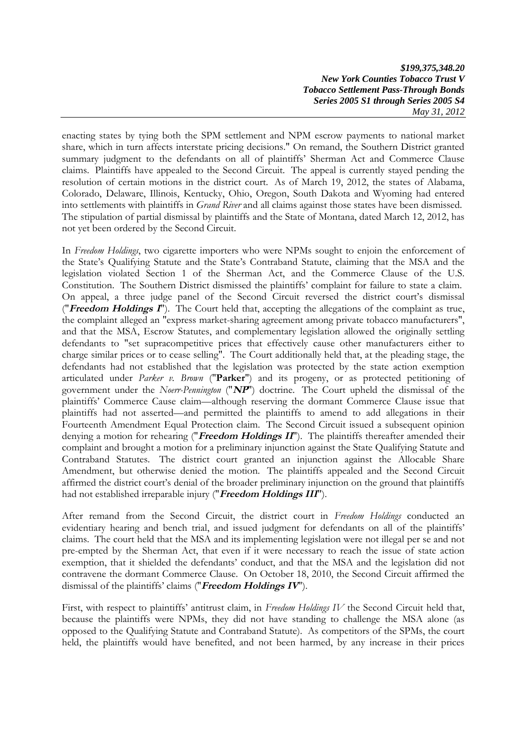enacting states by tying both the SPM settlement and NPM escrow payments to national market share, which in turn affects interstate pricing decisions." On remand, the Southern District granted summary judgment to the defendants on all of plaintiffs' Sherman Act and Commerce Clause claims. Plaintiffs have appealed to the Second Circuit. The appeal is currently stayed pending the resolution of certain motions in the district court. As of March 19, 2012, the states of Alabama, Colorado, Delaware, Illinois, Kentucky, Ohio, Oregon, South Dakota and Wyoming had entered into settlements with plaintiffs in *Grand River* and all claims against those states have been dismissed. The stipulation of partial dismissal by plaintiffs and the State of Montana, dated March 12, 2012, has not yet been ordered by the Second Circuit.

In *Freedom Holdings*, two cigarette importers who were NPMs sought to enjoin the enforcement of the State's Qualifying Statute and the State's Contraband Statute, claiming that the MSA and the legislation violated Section 1 of the Sherman Act, and the Commerce Clause of the U.S. Constitution. The Southern District dismissed the plaintiffs' complaint for failure to state a claim. On appeal, a three judge panel of the Second Circuit reversed the district court's dismissal ("**Freedom Holdings <sup>I</sup>**"). The Court held that, accepting the allegations of the complaint as true, the complaint alleged an "express market-sharing agreement among private tobacco manufacturers", and that the MSA, Escrow Statutes, and complementary legislation allowed the originally settling defendants to "set supracompetitive prices that effectively cause other manufacturers either to charge similar prices or to cease selling". The Court additionally held that, at the pleading stage, the defendants had not established that the legislation was protected by the state action exemption articulated under *Parker v. Brown* ("**Parker**") and its progeny, or as protected petitioning of government under the *Noerr-Pennington* ("**NP**") doctrine. The Court upheld the dismissal of the plaintiffs' Commerce Cause claim—although reserving the dormant Commerce Clause issue that plaintiffs had not asserted—and permitted the plaintiffs to amend to add allegations in their Fourteenth Amendment Equal Protection claim. The Second Circuit issued a subsequent opinion denying a motion for rehearing ("Freedom Holdings II"). The plaintiffs thereafter amended their complaint and brought a motion for a preliminary injunction against the State Qualifying Statute and Contraband Statutes. The district court granted an injunction against the Allocable Share Amendment, but otherwise denied the motion. The plaintiffs appealed and the Second Circuit affirmed the district court's denial of the broader preliminary injunction on the ground that plaintiffs had not established irreparable injury ("**Freedom Holdings III**").

After remand from the Second Circuit, the district court in *Freedom Holdings* conducted an evidentiary hearing and bench trial, and issued judgment for defendants on all of the plaintiffs' claims. The court held that the MSA and its implementing legislation were not illegal per se and not pre-empted by the Sherman Act, that even if it were necessary to reach the issue of state action exemption, that it shielded the defendants' conduct, and that the MSA and the legislation did not contravene the dormant Commerce Clause. On October 18, 2010, the Second Circuit affirmed the dismissal of the plaintiffs' claims ("**Freedom Holdings IV**").

First, with respect to plaintiffs' antitrust claim, in *Freedom Holdings IV* the Second Circuit held that, because the plaintiffs were NPMs, they did not have standing to challenge the MSA alone (as opposed to the Qualifying Statute and Contraband Statute). As competitors of the SPMs, the court held, the plaintiffs would have benefited, and not been harmed, by any increase in their prices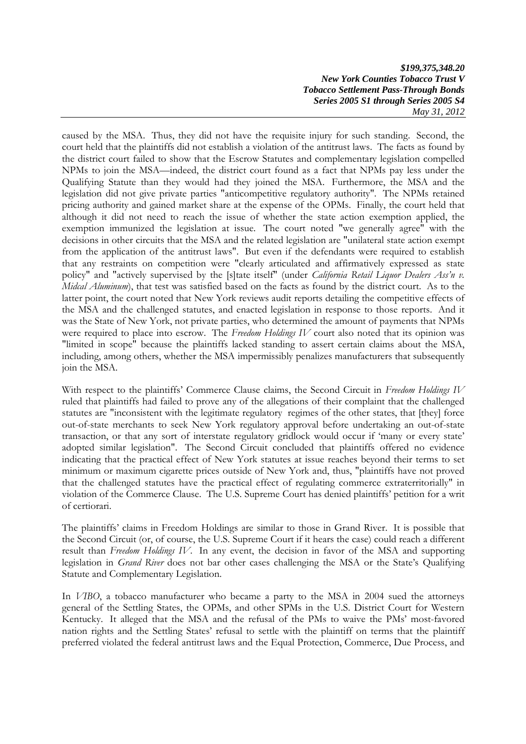caused by the MSA. Thus, they did not have the requisite injury for such standing. Second, the court held that the plaintiffs did not establish a violation of the antitrust laws. The facts as found by the district court failed to show that the Escrow Statutes and complementary legislation compelled NPMs to join the MSA—indeed, the district court found as a fact that NPMs pay less under the Qualifying Statute than they would had they joined the MSA. Furthermore, the MSA and the legislation did not give private parties "anticompetitive regulatory authority". The NPMs retained pricing authority and gained market share at the expense of the OPMs. Finally, the court held that although it did not need to reach the issue of whether the state action exemption applied, the exemption immunized the legislation at issue. The court noted "we generally agree" with the decisions in other circuits that the MSA and the related legislation are "unilateral state action exempt from the application of the antitrust laws". But even if the defendants were required to establish that any restraints on competition were "clearly articulated and affirmatively expressed as state policy" and "actively supervised by the [s]tate itself" (under *California Retail Liquor Dealers Ass'n v. Midcal Aluminum*), that test was satisfied based on the facts as found by the district court. As to the latter point, the court noted that New York reviews audit reports detailing the competitive effects of the MSA and the challenged statutes, and enacted legislation in response to those reports. And it was the State of New York, not private parties, who determined the amount of payments that NPMs were required to place into escrow. The *Freedom Holdings IV* court also noted that its opinion was "limited in scope" because the plaintiffs lacked standing to assert certain claims about the MSA, including, among others, whether the MSA impermissibly penalizes manufacturers that subsequently join the MSA.

With respect to the plaintiffs' Commerce Clause claims, the Second Circuit in *Freedom Holdings IV* ruled that plaintiffs had failed to prove any of the allegations of their complaint that the challenged statutes are "inconsistent with the legitimate regulatory regimes of the other states, that [they] force out-of-state merchants to seek New York regulatory approval before undertaking an out-of-state transaction, or that any sort of interstate regulatory gridlock would occur if 'many or every state' adopted similar legislation". The Second Circuit concluded that plaintiffs offered no evidence indicating that the practical effect of New York statutes at issue reaches beyond their terms to set minimum or maximum cigarette prices outside of New York and, thus, "plaintiffs have not proved that the challenged statutes have the practical effect of regulating commerce extraterritorially" in violation of the Commerce Clause. The U.S. Supreme Court has denied plaintiffs' petition for a writ of certiorari.

The plaintiffs' claims in Freedom Holdings are similar to those in Grand River. It is possible that the Second Circuit (or, of course, the U.S. Supreme Court if it hears the case) could reach a different result than *Freedom Holdings IV*. In any event, the decision in favor of the MSA and supporting legislation in *Grand River* does not bar other cases challenging the MSA or the State's Qualifying Statute and Complementary Legislation.

In *VIBO*, a tobacco manufacturer who became a party to the MSA in 2004 sued the attorneys general of the Settling States, the OPMs, and other SPMs in the U.S. District Court for Western Kentucky. It alleged that the MSA and the refusal of the PMs to waive the PMs' most-favored nation rights and the Settling States' refusal to settle with the plaintiff on terms that the plaintiff preferred violated the federal antitrust laws and the Equal Protection, Commerce, Due Process, and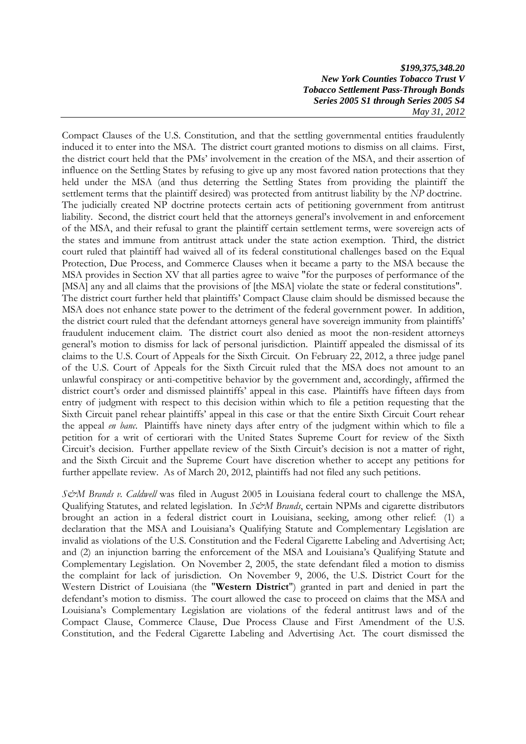Compact Clauses of the U.S. Constitution, and that the settling governmental entities fraudulently induced it to enter into the MSA. The district court granted motions to dismiss on all claims. First, the district court held that the PMs' involvement in the creation of the MSA, and their assertion of influence on the Settling States by refusing to give up any most favored nation protections that they held under the MSA (and thus deterring the Settling States from providing the plaintiff the settlement terms that the plaintiff desired) was protected from antitrust liability by the *NP* doctrine. The judicially created NP doctrine protects certain acts of petitioning government from antitrust liability. Second, the district court held that the attorneys general's involvement in and enforcement of the MSA, and their refusal to grant the plaintiff certain settlement terms, were sovereign acts of the states and immune from antitrust attack under the state action exemption. Third, the district court ruled that plaintiff had waived all of its federal constitutional challenges based on the Equal Protection, Due Process, and Commerce Clauses when it became a party to the MSA because the MSA provides in Section XV that all parties agree to waive "for the purposes of performance of the [MSA] any and all claims that the provisions of [the MSA] violate the state or federal constitutions". The district court further held that plaintiffs' Compact Clause claim should be dismissed because the MSA does not enhance state power to the detriment of the federal government power. In addition, the district court ruled that the defendant attorneys general have sovereign immunity from plaintiffs' fraudulent inducement claim. The district court also denied as moot the non-resident attorneys general's motion to dismiss for lack of personal jurisdiction. Plaintiff appealed the dismissal of its claims to the U.S. Court of Appeals for the Sixth Circuit. On February 22, 2012, a three judge panel of the U.S. Court of Appeals for the Sixth Circuit ruled that the MSA does not amount to an unlawful conspiracy or anti-competitive behavior by the government and, accordingly, affirmed the district court's order and dismissed plaintiffs' appeal in this case. Plaintiffs have fifteen days from entry of judgment with respect to this decision within which to file a petition requesting that the Sixth Circuit panel rehear plaintiffs' appeal in this case or that the entire Sixth Circuit Court rehear the appeal *en banc*. Plaintiffs have ninety days after entry of the judgment within which to file a petition for a writ of certiorari with the United States Supreme Court for review of the Sixth Circuit's decision. Further appellate review of the Sixth Circuit's decision is not a matter of right, and the Sixth Circuit and the Supreme Court have discretion whether to accept any petitions for further appellate review. As of March 20, 2012, plaintiffs had not filed any such petitions.

*S&M Brands v. Caldwell* was filed in August 2005 in Louisiana federal court to challenge the MSA, Qualifying Statutes, and related legislation. In *S&M Brands*, certain NPMs and cigarette distributors brought an action in a federal district court in Louisiana, seeking, among other relief: (1) a declaration that the MSA and Louisiana's Qualifying Statute and Complementary Legislation are invalid as violations of the U.S. Constitution and the Federal Cigarette Labeling and Advertising Act; and (2) an injunction barring the enforcement of the MSA and Louisiana's Qualifying Statute and Complementary Legislation. On November 2, 2005, the state defendant filed a motion to dismiss the complaint for lack of jurisdiction. On November 9, 2006, the U.S. District Court for the Western District of Louisiana (the "**Western District**") granted in part and denied in part the defendant's motion to dismiss. The court allowed the case to proceed on claims that the MSA and Louisiana's Complementary Legislation are violations of the federal antitrust laws and of the Compact Clause, Commerce Clause, Due Process Clause and First Amendment of the U.S. Constitution, and the Federal Cigarette Labeling and Advertising Act. The court dismissed the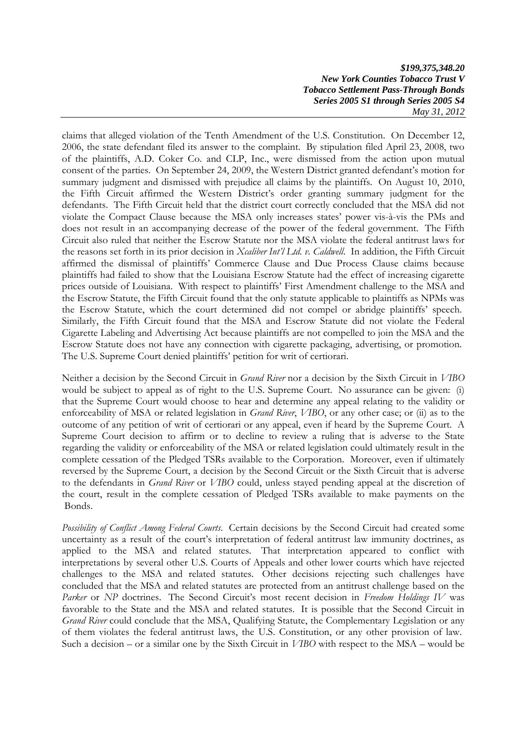claims that alleged violation of the Tenth Amendment of the U.S. Constitution. On December 12, 2006, the state defendant filed its answer to the complaint. By stipulation filed April 23, 2008, two of the plaintiffs, A.D. Coker Co. and CLP, Inc., were dismissed from the action upon mutual consent of the parties. On September 24, 2009, the Western District granted defendant's motion for summary judgment and dismissed with prejudice all claims by the plaintiffs. On August 10, 2010, the Fifth Circuit affirmed the Western District's order granting summary judgment for the defendants. The Fifth Circuit held that the district court correctly concluded that the MSA did not violate the Compact Clause because the MSA only increases states' power vis-à-vis the PMs and does not result in an accompanying decrease of the power of the federal government. The Fifth Circuit also ruled that neither the Escrow Statute nor the MSA violate the federal antitrust laws for the reasons set forth in its prior decision in *Xcaliber Int'l Ltd. v. Caldwell*. In addition, the Fifth Circuit affirmed the dismissal of plaintiffs' Commerce Clause and Due Process Clause claims because plaintiffs had failed to show that the Louisiana Escrow Statute had the effect of increasing cigarette prices outside of Louisiana. With respect to plaintiffs' First Amendment challenge to the MSA and the Escrow Statute, the Fifth Circuit found that the only statute applicable to plaintiffs as NPMs was the Escrow Statute, which the court determined did not compel or abridge plaintiffs' speech. Similarly, the Fifth Circuit found that the MSA and Escrow Statute did not violate the Federal Cigarette Labeling and Advertising Act because plaintiffs are not compelled to join the MSA and the Escrow Statute does not have any connection with cigarette packaging, advertising, or promotion. The U.S. Supreme Court denied plaintiffs' petition for writ of certiorari.

Neither a decision by the Second Circuit in *Grand River* nor a decision by the Sixth Circuit in *VIBO* would be subject to appeal as of right to the U.S. Supreme Court. No assurance can be given: (i) that the Supreme Court would choose to hear and determine any appeal relating to the validity or enforceability of MSA or related legislation in *Grand River*, *VIBO*, or any other case; or (ii) as to the outcome of any petition of writ of certiorari or any appeal, even if heard by the Supreme Court. A Supreme Court decision to affirm or to decline to review a ruling that is adverse to the State regarding the validity or enforceability of the MSA or related legislation could ultimately result in the complete cessation of the Pledged TSRs available to the Corporation. Moreover, even if ultimately reversed by the Supreme Court, a decision by the Second Circuit or the Sixth Circuit that is adverse to the defendants in *Grand River* or *VIBO* could, unless stayed pending appeal at the discretion of the court, result in the complete cessation of Pledged TSRs available to make payments on the Bonds.

*Possibility of Conflict Among Federal Courts*. Certain decisions by the Second Circuit had created some uncertainty as a result of the court's interpretation of federal antitrust law immunity doctrines, as applied to the MSA and related statutes. That interpretation appeared to conflict with interpretations by several other U.S. Courts of Appeals and other lower courts which have rejected challenges to the MSA and related statutes. Other decisions rejecting such challenges have concluded that the MSA and related statutes are protected from an antitrust challenge based on the *Parker* or *NP* doctrines. The Second Circuit's most recent decision in *Freedom Holdings IV* was favorable to the State and the MSA and related statutes. It is possible that the Second Circuit in *Grand River* could conclude that the MSA, Qualifying Statute, the Complementary Legislation or any of them violates the federal antitrust laws, the U.S. Constitution, or any other provision of law. Such a decision – or a similar one by the Sixth Circuit in *VIBO* with respect to the MSA – would be